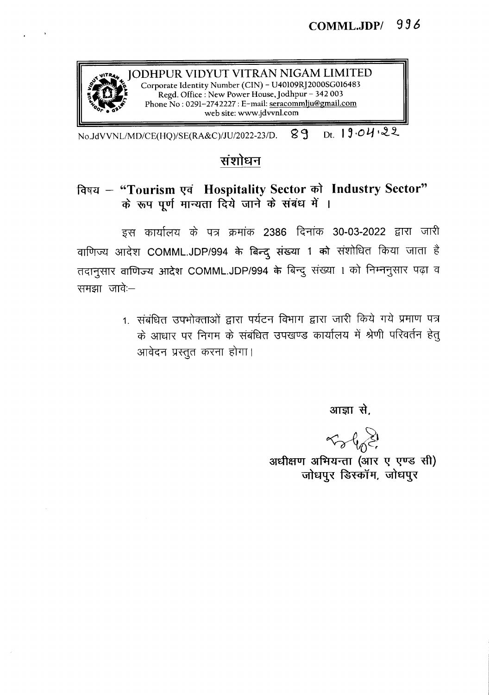

~"'T~ JODHPUR VIDYUT VITRAN NIGAM LIMITED ! *':.tf'ti: \* Corporate Identity Number (CIN) - U40109Rj2000SGOl6483 Regd. Office: New Power House, Jodhpur - 342003 Phone No: 0291-2742227: E-mail: seracommlju@gmail.com web site: www.jdvvnl.com

No.JdVVNL/MD/CE(HQ)/SE(RA&C)/JU/2022-23/D. 89 Dt. 19.04.22

## संशोधन

## विषय - "Tourism एवं Hospitality Sector को Industry Sector" के रूप पूर्ण मान्यता दिये जाने के संबंध में ।

इस कार्यालय के पत्र क्रमांक 2386 दिनांक 30-03-2022 द्वारा जारी वाणिज्य आदेश COMML.JDP/994 के बिन्दू संख्या 1 को संशोधित किया जाता है तदानुसार वाणिज्य आदेश COMML.JDP/994 के बिन्दु संख्या 1 को निम्ननुसार पढ़ा व  $\overline{v}$ समझा $\overline{v}$ ावेः-

> 1. संबंधित उपभोक्ताओं द्वारा पर्यटन विभाग द्वारा जारी किये गये प्रमाण पत्र के आधार पर निगम के संबंधित उपखण्ड कार्यालय में श्रेणी परिवर्तन हेतू आवेदन प्रस्तूत करना होगा।

> > आज्ञा से.

 $~\sim~$ 

अधीक्षण अभियन्ता (आर ए एण्ड सी) जोधपुर डिस्कॉम, जोधपुर